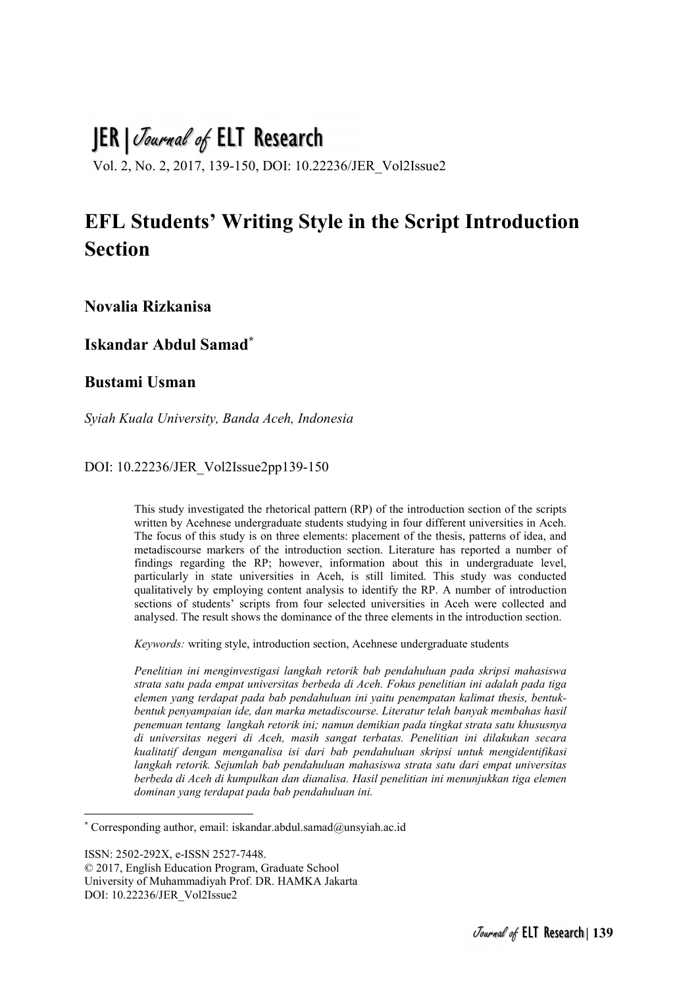# JER | Journal of ELT Research

Vol. 2, No. 2, 2017, 139-150, DOI: 10.22236/JER\_Vol2Issue2

## EFL Students' Writing Style in the Script Introduction **Section**

Novalia Rizkanisa

Iskandar Abdul Samad\*

## Bustami Usman

Syiah Kuala University, Banda Aceh, Indonesia

#### DOI: 10.22236/JER\_Vol2Issue2pp139-150

This study investigated the rhetorical pattern (RP) of the introduction section of the scripts written by Acehnese undergraduate students studying in four different universities in Aceh. The focus of this study is on three elements: placement of the thesis, patterns of idea, and metadiscourse markers of the introduction section. Literature has reported a number of findings regarding the RP; however, information about this in undergraduate level, particularly in state universities in Aceh, is still limited. This study was conducted qualitatively by employing content analysis to identify the RP. A number of introduction sections of students' scripts from four selected universities in Aceh were collected and analysed. The result shows the dominance of the three elements in the introduction section.

Keywords: writing style, introduction section, Acehnese undergraduate students

Penelitian ini menginvestigasi langkah retorik bab pendahuluan pada skripsi mahasiswa strata satu pada empat universitas berbeda di Aceh. Fokus penelitian ini adalah pada tiga elemen yang terdapat pada bab pendahuluan ini yaitu penempatan kalimat thesis, bentukbentuk penyampaian ide, dan marka metadiscourse. Literatur telah banyak membahas hasil penemuan tentang langkah retorik ini; namun demikian pada tingkat strata satu khususnya di universitas negeri di Aceh, masih sangat terbatas. Penelitian ini dilakukan secara kualitatif dengan menganalisa isi dari bab pendahuluan skripsi untuk mengidentifikasi langkah retorik. Sejumlah bab pendahuluan mahasiswa strata satu dari empat universitas berbeda di Aceh di kumpulkan dan dianalisa. Hasil penelitian ini menunjukkan tiga elemen dominan yang terdapat pada bab pendahuluan ini.

ISSN: 2502-292X, e-ISSN 2527-7448.

-

<sup>\*</sup> Corresponding author, email: iskandar.abdul.samad@unsyiah.ac.id

<sup>© 2017,</sup> English Education Program, Graduate School University of Muhammadiyah Prof. DR. HAMKA Jakarta DOI: 10.22236/JER\_Vol2Issue2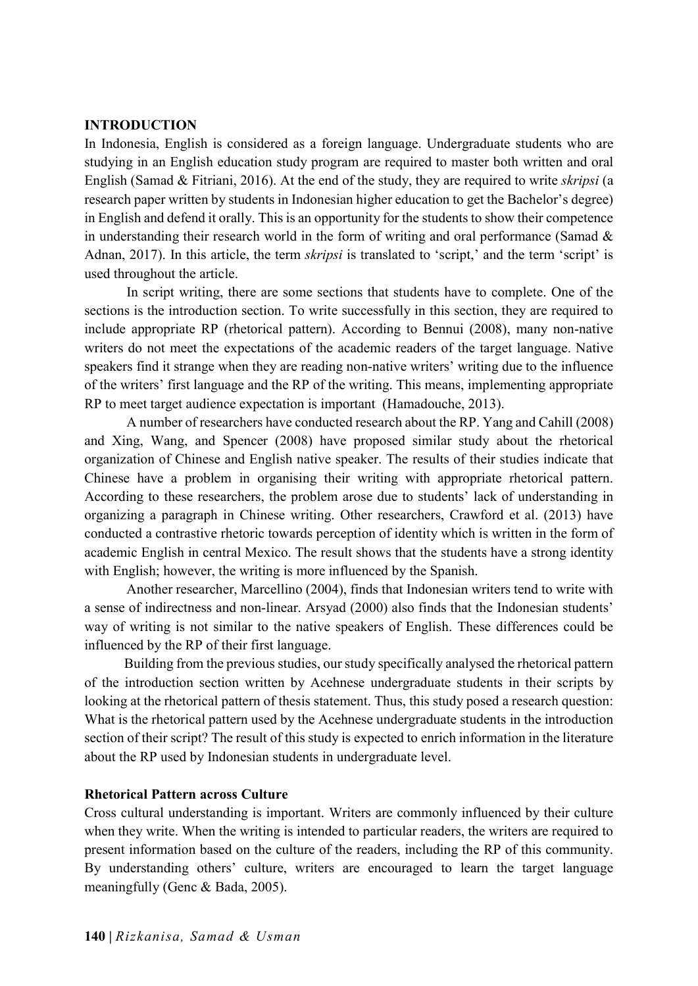#### INTRODUCTION

In Indonesia, English is considered as a foreign language. Undergraduate students who are studying in an English education study program are required to master both written and oral English (Samad & Fitriani, 2016). At the end of the study, they are required to write skripsi (a research paper written by students in Indonesian higher education to get the Bachelor's degree) in English and defend it orally. This is an opportunity for the students to show their competence in understanding their research world in the form of writing and oral performance (Samad & Adnan, 2017). In this article, the term *skripsi* is translated to 'script,' and the term 'script' is used throughout the article.

 In script writing, there are some sections that students have to complete. One of the sections is the introduction section. To write successfully in this section, they are required to include appropriate RP (rhetorical pattern). According to Bennui (2008), many non-native writers do not meet the expectations of the academic readers of the target language. Native speakers find it strange when they are reading non-native writers' writing due to the influence of the writers' first language and the RP of the writing. This means, implementing appropriate RP to meet target audience expectation is important (Hamadouche, 2013).

 A number of researchers have conducted research about the RP. Yang and Cahill (2008) and Xing, Wang, and Spencer (2008) have proposed similar study about the rhetorical organization of Chinese and English native speaker. The results of their studies indicate that Chinese have a problem in organising their writing with appropriate rhetorical pattern. According to these researchers, the problem arose due to students' lack of understanding in organizing a paragraph in Chinese writing. Other researchers, Crawford et al. (2013) have conducted a contrastive rhetoric towards perception of identity which is written in the form of academic English in central Mexico. The result shows that the students have a strong identity with English; however, the writing is more influenced by the Spanish.

 Another researcher, Marcellino (2004), finds that Indonesian writers tend to write with a sense of indirectness and non-linear. Arsyad (2000) also finds that the Indonesian students' way of writing is not similar to the native speakers of English. These differences could be influenced by the RP of their first language.

Building from the previous studies, our study specifically analysed the rhetorical pattern of the introduction section written by Acehnese undergraduate students in their scripts by looking at the rhetorical pattern of thesis statement. Thus, this study posed a research question: What is the rhetorical pattern used by the Acehnese undergraduate students in the introduction section of their script? The result of this study is expected to enrich information in the literature about the RP used by Indonesian students in undergraduate level.

## Rhetorical Pattern across Culture

Cross cultural understanding is important. Writers are commonly influenced by their culture when they write. When the writing is intended to particular readers, the writers are required to present information based on the culture of the readers, including the RP of this community. By understanding others' culture, writers are encouraged to learn the target language meaningfully (Genc & Bada, 2005).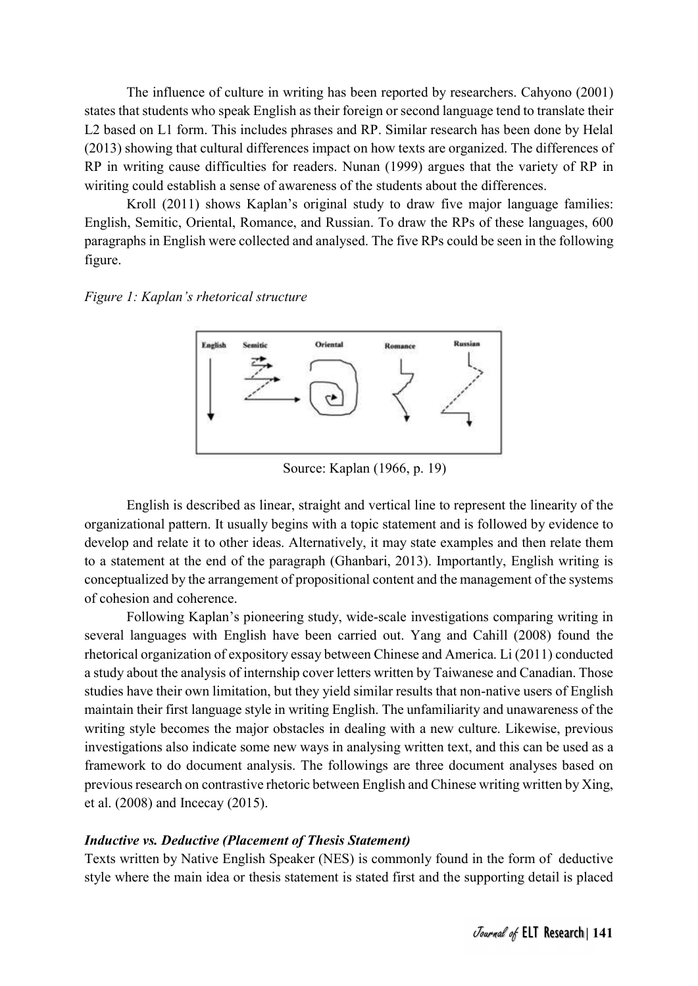The influence of culture in writing has been reported by researchers. Cahyono (2001) states that students who speak English as their foreign or second language tend to translate their L2 based on L1 form. This includes phrases and RP. Similar research has been done by Helal (2013) showing that cultural differences impact on how texts are organized. The differences of RP in writing cause difficulties for readers. Nunan (1999) argues that the variety of RP in wiriting could establish a sense of awareness of the students about the differences.

 Kroll (2011) shows Kaplan's original study to draw five major language families: English, Semitic, Oriental, Romance, and Russian. To draw the RPs of these languages, 600 paragraphs in English were collected and analysed. The five RPs could be seen in the following figure.

#### Figure 1: Kaplan's rhetorical structure



Source: Kaplan (1966, p. 19)

 English is described as linear, straight and vertical line to represent the linearity of the organizational pattern. It usually begins with a topic statement and is followed by evidence to develop and relate it to other ideas. Alternatively, it may state examples and then relate them to a statement at the end of the paragraph (Ghanbari, 2013). Importantly, English writing is conceptualized by the arrangement of propositional content and the management of the systems of cohesion and coherence.

 Following Kaplan's pioneering study, wide-scale investigations comparing writing in several languages with English have been carried out. Yang and Cahill (2008) found the rhetorical organization of expository essay between Chinese and America. Li (2011) conducted a study about the analysis of internship cover letters written by Taiwanese and Canadian. Those studies have their own limitation, but they yield similar results that non-native users of English maintain their first language style in writing English. The unfamiliarity and unawareness of the writing style becomes the major obstacles in dealing with a new culture. Likewise, previous investigations also indicate some new ways in analysing written text, and this can be used as a framework to do document analysis. The followings are three document analyses based on previous research on contrastive rhetoric between English and Chinese writing written by Xing, et al. (2008) and Incecay (2015).

## Inductive vs. Deductive (Placement of Thesis Statement)

Texts written by Native English Speaker (NES) is commonly found in the form of deductive style where the main idea or thesis statement is stated first and the supporting detail is placed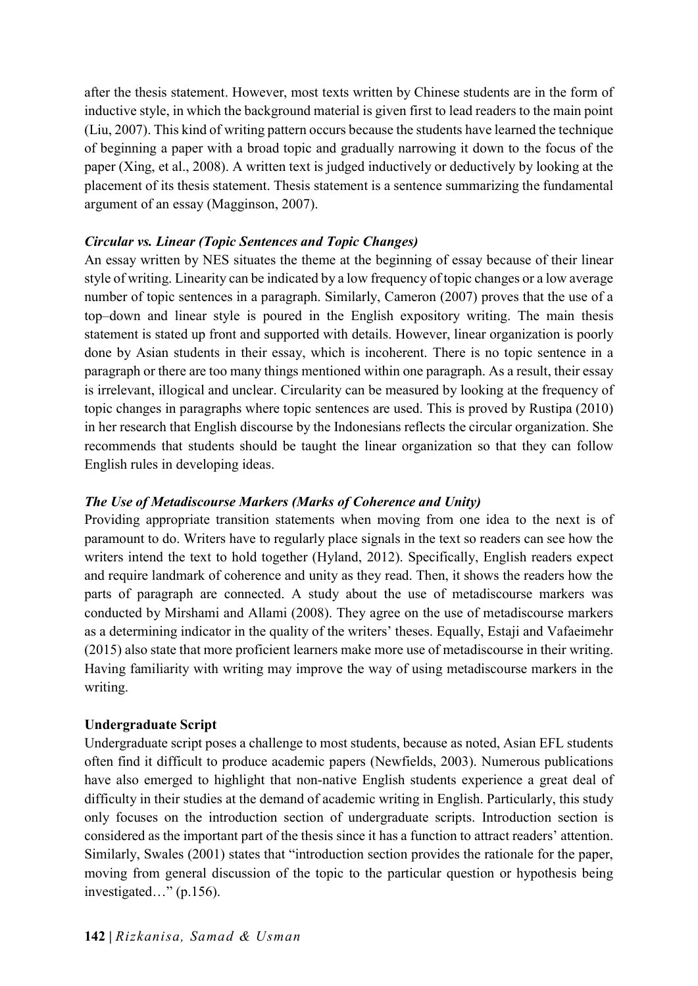after the thesis statement. However, most texts written by Chinese students are in the form of inductive style, in which the background material is given first to lead readers to the main point (Liu, 2007). This kind of writing pattern occurs because the students have learned the technique of beginning a paper with a broad topic and gradually narrowing it down to the focus of the paper (Xing, et al., 2008). A written text is judged inductively or deductively by looking at the placement of its thesis statement. Thesis statement is a sentence summarizing the fundamental argument of an essay (Magginson, 2007).

## Circular vs. Linear (Topic Sentences and Topic Changes)

An essay written by NES situates the theme at the beginning of essay because of their linear style of writing. Linearity can be indicated by a low frequency of topic changes or a low average number of topic sentences in a paragraph. Similarly, Cameron (2007) proves that the use of a top–down and linear style is poured in the English expository writing. The main thesis statement is stated up front and supported with details. However, linear organization is poorly done by Asian students in their essay, which is incoherent. There is no topic sentence in a paragraph or there are too many things mentioned within one paragraph. As a result, their essay is irrelevant, illogical and unclear. Circularity can be measured by looking at the frequency of topic changes in paragraphs where topic sentences are used. This is proved by Rustipa (2010) in her research that English discourse by the Indonesians reflects the circular organization. She recommends that students should be taught the linear organization so that they can follow English rules in developing ideas.

## The Use of Metadiscourse Markers (Marks of Coherence and Unity)

Providing appropriate transition statements when moving from one idea to the next is of paramount to do. Writers have to regularly place signals in the text so readers can see how the writers intend the text to hold together (Hyland, 2012). Specifically, English readers expect and require landmark of coherence and unity as they read. Then, it shows the readers how the parts of paragraph are connected. A study about the use of metadiscourse markers was conducted by Mirshami and Allami (2008). They agree on the use of metadiscourse markers as a determining indicator in the quality of the writers' theses. Equally, Estaji and Vafaeimehr (2015) also state that more proficient learners make more use of metadiscourse in their writing. Having familiarity with writing may improve the way of using metadiscourse markers in the writing.

#### Undergraduate Script

Undergraduate script poses a challenge to most students, because as noted, Asian EFL students often find it difficult to produce academic papers (Newfields, 2003). Numerous publications have also emerged to highlight that non-native English students experience a great deal of difficulty in their studies at the demand of academic writing in English. Particularly, this study only focuses on the introduction section of undergraduate scripts. Introduction section is considered as the important part of the thesis since it has a function to attract readers' attention. Similarly, Swales (2001) states that "introduction section provides the rationale for the paper, moving from general discussion of the topic to the particular question or hypothesis being investigated…" (p.156).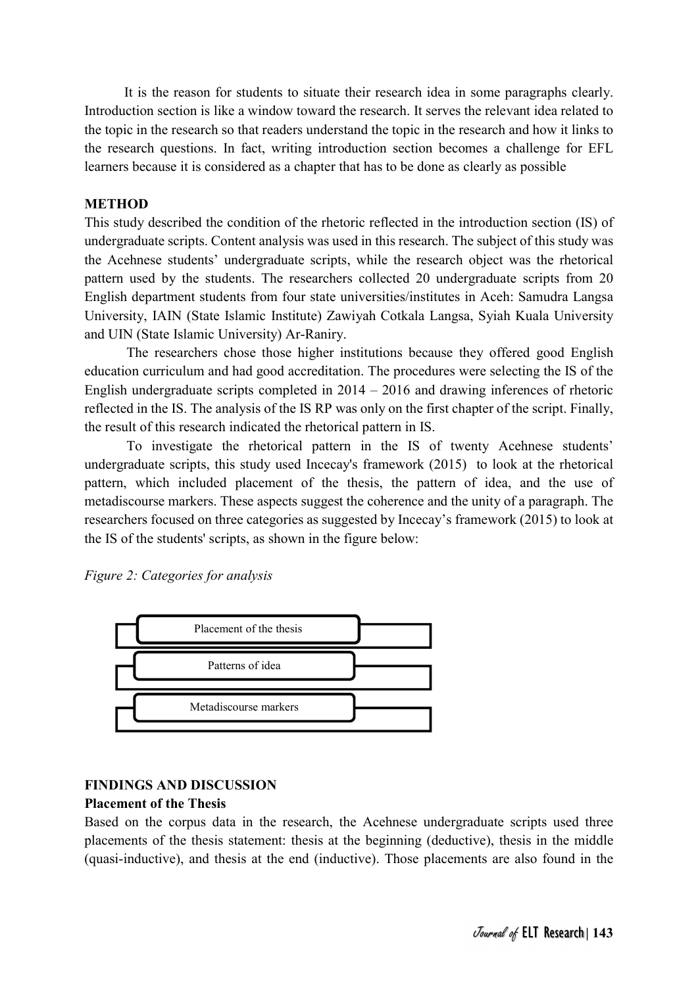It is the reason for students to situate their research idea in some paragraphs clearly. Introduction section is like a window toward the research. It serves the relevant idea related to the topic in the research so that readers understand the topic in the research and how it links to the research questions. In fact, writing introduction section becomes a challenge for EFL learners because it is considered as a chapter that has to be done as clearly as possible

#### **METHOD**

This study described the condition of the rhetoric reflected in the introduction section (IS) of undergraduate scripts. Content analysis was used in this research. The subject of this study was the Acehnese students' undergraduate scripts, while the research object was the rhetorical pattern used by the students. The researchers collected 20 undergraduate scripts from 20 English department students from four state universities/institutes in Aceh: Samudra Langsa University, IAIN (State Islamic Institute) Zawiyah Cotkala Langsa, Syiah Kuala University and UIN (State Islamic University) Ar-Raniry.

 The researchers chose those higher institutions because they offered good English education curriculum and had good accreditation. The procedures were selecting the IS of the English undergraduate scripts completed in 2014 – 2016 and drawing inferences of rhetoric reflected in the IS. The analysis of the IS RP was only on the first chapter of the script. Finally, the result of this research indicated the rhetorical pattern in IS.

 To investigate the rhetorical pattern in the IS of twenty Acehnese students' undergraduate scripts, this study used Incecay's framework (2015) to look at the rhetorical pattern, which included placement of the thesis, the pattern of idea, and the use of metadiscourse markers. These aspects suggest the coherence and the unity of a paragraph. The researchers focused on three categories as suggested by Incecay's framework (2015) to look at the IS of the students' scripts, as shown in the figure below:

Figure 2: Categories for analysis



#### FINDINGS AND DISCUSSION

#### Placement of the Thesis

Based on the corpus data in the research, the Acehnese undergraduate scripts used three placements of the thesis statement: thesis at the beginning (deductive), thesis in the middle (quasi-inductive), and thesis at the end (inductive). Those placements are also found in the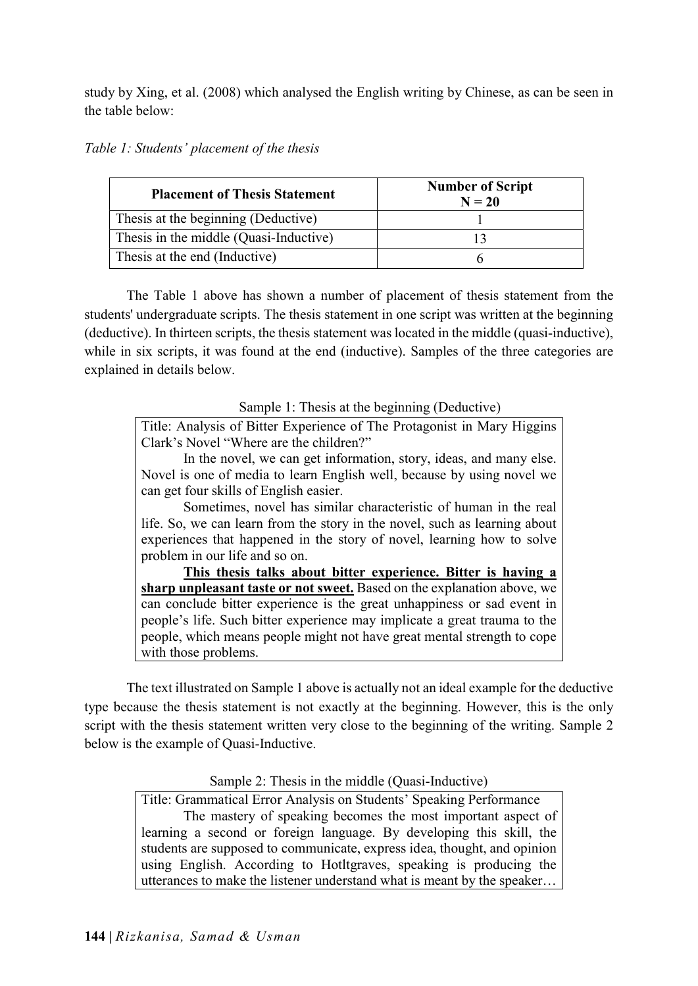study by Xing, et al. (2008) which analysed the English writing by Chinese, as can be seen in the table below:

| Table 1: Students' placement of the thesis |  |  |
|--------------------------------------------|--|--|
|--------------------------------------------|--|--|

| <b>Placement of Thesis Statement</b>   | <b>Number of Script</b><br>$N = 20$ |  |  |  |  |
|----------------------------------------|-------------------------------------|--|--|--|--|
| Thesis at the beginning (Deductive)    |                                     |  |  |  |  |
| Thesis in the middle (Quasi-Inductive) |                                     |  |  |  |  |
| Thesis at the end (Inductive)          |                                     |  |  |  |  |

 The Table 1 above has shown a number of placement of thesis statement from the students' undergraduate scripts. The thesis statement in one script was written at the beginning (deductive). In thirteen scripts, the thesis statement was located in the middle (quasi-inductive), while in six scripts, it was found at the end (inductive). Samples of the three categories are explained in details below.

Sample 1: Thesis at the beginning (Deductive)

Title: Analysis of Bitter Experience of The Protagonist in Mary Higgins Clark's Novel "Where are the children?"

 In the novel, we can get information, story, ideas, and many else. Novel is one of media to learn English well, because by using novel we can get four skills of English easier.

 Sometimes, novel has similar characteristic of human in the real life. So, we can learn from the story in the novel, such as learning about experiences that happened in the story of novel, learning how to solve problem in our life and so on.

This thesis talks about bitter experience. Bitter is having a sharp unpleasant taste or not sweet. Based on the explanation above, we can conclude bitter experience is the great unhappiness or sad event in people's life. Such bitter experience may implicate a great trauma to the people, which means people might not have great mental strength to cope with those problems.

 The text illustrated on Sample 1 above is actually not an ideal example for the deductive type because the thesis statement is not exactly at the beginning. However, this is the only script with the thesis statement written very close to the beginning of the writing. Sample 2 below is the example of Quasi-Inductive.

Sample 2: Thesis in the middle (Quasi-Inductive)

Title: Grammatical Error Analysis on Students' Speaking Performance The mastery of speaking becomes the most important aspect of learning a second or foreign language. By developing this skill, the students are supposed to communicate, express idea, thought, and opinion using English. According to Hotltgraves, speaking is producing the utterances to make the listener understand what is meant by the speaker…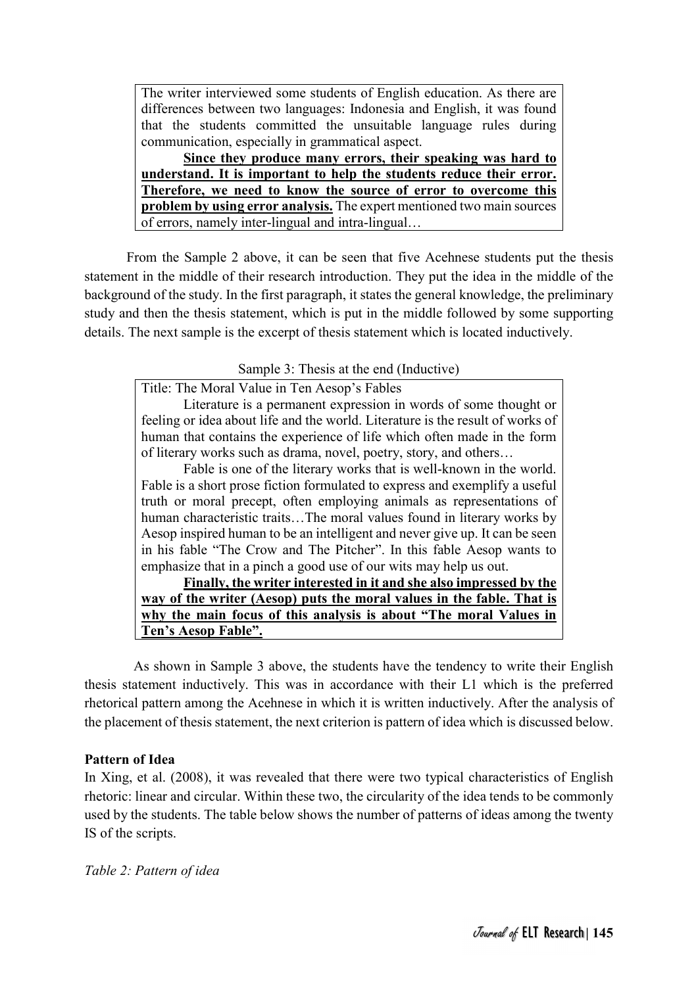The writer interviewed some students of English education. As there are differences between two languages: Indonesia and English, it was found that the students committed the unsuitable language rules during communication, especially in grammatical aspect.

Since they produce many errors, their speaking was hard to understand. It is important to help the students reduce their error. Therefore, we need to know the source of error to overcome this problem by using error analysis. The expert mentioned two main sources of errors, namely inter-lingual and intra-lingual…

 From the Sample 2 above, it can be seen that five Acehnese students put the thesis statement in the middle of their research introduction. They put the idea in the middle of the background of the study. In the first paragraph, it states the general knowledge, the preliminary study and then the thesis statement, which is put in the middle followed by some supporting details. The next sample is the excerpt of thesis statement which is located inductively.

Sample 3: Thesis at the end (Inductive)

Title: The Moral Value in Ten Aesop's Fables

 Literature is a permanent expression in words of some thought or feeling or idea about life and the world. Literature is the result of works of human that contains the experience of life which often made in the form of literary works such as drama, novel, poetry, story, and others…

 Fable is one of the literary works that is well-known in the world. Fable is a short prose fiction formulated to express and exemplify a useful truth or moral precept, often employing animals as representations of human characteristic traits…The moral values found in literary works by Aesop inspired human to be an intelligent and never give up. It can be seen in his fable "The Crow and The Pitcher". In this fable Aesop wants to emphasize that in a pinch a good use of our wits may help us out.

Finally, the writer interested in it and she also impressed by the way of the writer (Aesop) puts the moral values in the fable. That is why the main focus of this analysis is about "The moral Values in Ten's Aesop Fable".

 As shown in Sample 3 above, the students have the tendency to write their English thesis statement inductively. This was in accordance with their L1 which is the preferred rhetorical pattern among the Acehnese in which it is written inductively. After the analysis of the placement of thesis statement, the next criterion is pattern of idea which is discussed below.

## Pattern of Idea

In Xing, et al. (2008), it was revealed that there were two typical characteristics of English rhetoric: linear and circular. Within these two, the circularity of the idea tends to be commonly used by the students. The table below shows the number of patterns of ideas among the twenty IS of the scripts.

Table 2: Pattern of idea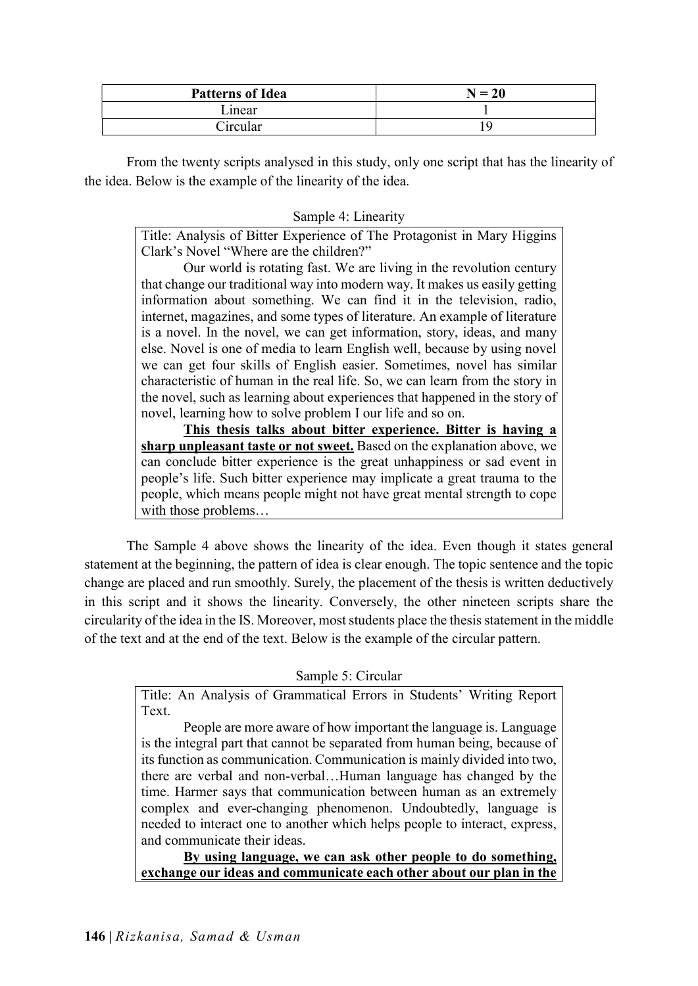| <b>Patterns of Idea</b> | $N = 20$ |  |  |  |  |
|-------------------------|----------|--|--|--|--|
| Linear                  |          |  |  |  |  |
| Circular                |          |  |  |  |  |

 From the twenty scripts analysed in this study, only one script that has the linearity of the idea. Below is the example of the linearity of the idea.

Sample 4: Linearity

Title: Analysis of Bitter Experience of The Protagonist in Mary Higgins Clark's Novel "Where are the children?"

 Our world is rotating fast. We are living in the revolution century that change our traditional way into modern way. It makes us easily getting information about something. We can find it in the television, radio, internet, magazines, and some types of literature. An example of literature is a novel. In the novel, we can get information, story, ideas, and many else. Novel is one of media to learn English well, because by using novel we can get four skills of English easier. Sometimes, novel has similar characteristic of human in the real life. So, we can learn from the story in the novel, such as learning about experiences that happened in the story of novel, learning how to solve problem I our life and so on.

This thesis talks about bitter experience. Bitter is having a sharp unpleasant taste or not sweet. Based on the explanation above, we can conclude bitter experience is the great unhappiness or sad event in people's life. Such bitter experience may implicate a great trauma to the people, which means people might not have great mental strength to cope with those problems…

 The Sample 4 above shows the linearity of the idea. Even though it states general statement at the beginning, the pattern of idea is clear enough. The topic sentence and the topic change are placed and run smoothly. Surely, the placement of the thesis is written deductively in this script and it shows the linearity. Conversely, the other nineteen scripts share the circularity of the idea in the IS. Moreover, most students place the thesis statement in the middle of the text and at the end of the text. Below is the example of the circular pattern.

## Sample 5: Circular

Title: An Analysis of Grammatical Errors in Students' Writing Report Text.

 People are more aware of how important the language is. Language is the integral part that cannot be separated from human being, because of its function as communication. Communication is mainly divided into two, there are verbal and non-verbal…Human language has changed by the time. Harmer says that communication between human as an extremely complex and ever-changing phenomenon. Undoubtedly, language is needed to interact one to another which helps people to interact, express, and communicate their ideas.

By using language, we can ask other people to do something, exchange our ideas and communicate each other about our plan in the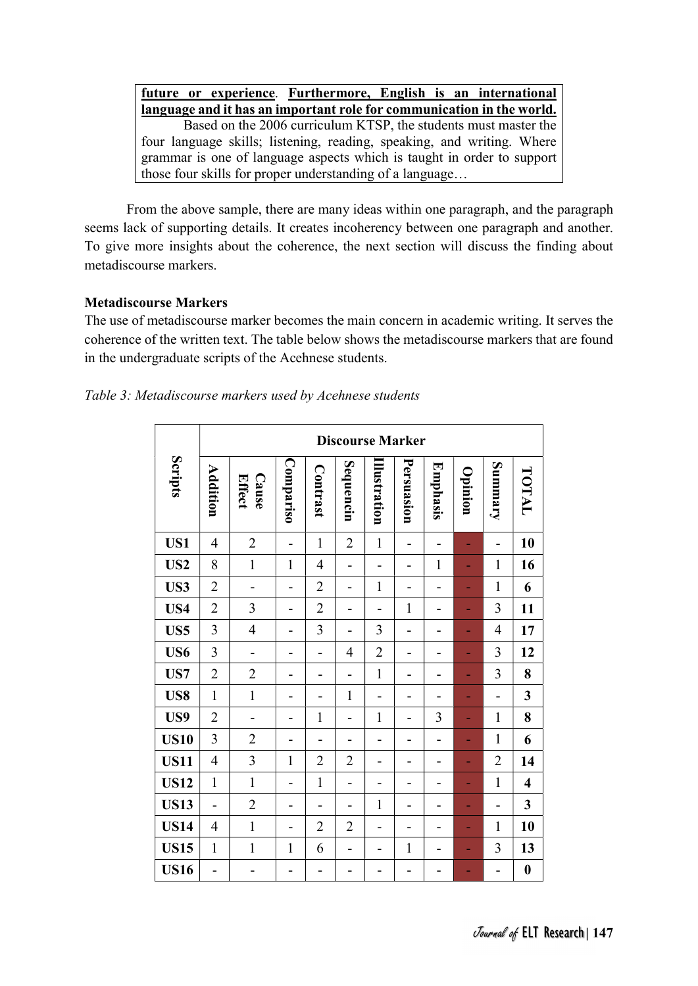future or experience. Furthermore, English is an international language and it has an important role for communication in the world. Based on the 2006 curriculum KTSP, the students must master the four language skills; listening, reading, speaking, and writing. Where grammar is one of language aspects which is taught in order to support those four skills for proper understanding of a language…

 From the above sample, there are many ideas within one paragraph, and the paragraph seems lack of supporting details. It creates incoherency between one paragraph and another. To give more insights about the coherence, the next section will discuss the finding about metadiscourse markers.

## Metadiscourse Markers

The use of metadiscourse marker becomes the main concern in academic writing. It serves the coherence of the written text. The table below shows the metadiscourse markers that are found in the undergraduate scripts of the Acehnese students.

| Table 3: Metadiscourse markers used by Acehnese students |  |  |
|----------------------------------------------------------|--|--|
|----------------------------------------------------------|--|--|

|                 | <b>Discourse Marker</b>  |                 |              |                |                          |                |              |          |         |                              |                         |
|-----------------|--------------------------|-----------------|--------------|----------------|--------------------------|----------------|--------------|----------|---------|------------------------------|-------------------------|
| Scripts         | Addition                 | Cause<br>Effect | Compariso    | Contrast       | Sequencin                | llustration    | Persuasion   | Emphasis | Opinion | Summary                      | TOTAL                   |
| US1             | $\overline{4}$           | $\overline{2}$  | -            | $\mathbf{1}$   | $\overline{2}$           | $\mathbf{1}$   | -            |          |         | -                            | 10                      |
| US <sub>2</sub> | 8                        | $\mathbf{1}$    | $\mathbf{1}$ | $\overline{4}$ | $\overline{\phantom{0}}$ | -              | -            | 1        |         | $\mathbf{1}$                 | 16                      |
| US3             | $\overline{2}$           | -               | -            | $\overline{2}$ | $\overline{a}$           | $\mathbf{1}$   |              |          |         | $\mathbf{1}$                 | 6                       |
| US4             | $\overline{2}$           | 3               | -            | $\overline{2}$ | -                        | -              | $\mathbf{1}$ | -        |         | 3                            | 11                      |
| US5             | $\overline{3}$           | $\overline{4}$  | -            | 3              | -                        | 3              | -            |          |         | $\overline{4}$               | 17                      |
| US6             | 3                        | -               | -            |                | $\overline{4}$           | $\overline{2}$ | -            |          |         | 3                            | 12                      |
| US7             | $\overline{2}$           | $\overline{2}$  | -            |                | -                        | $\mathbf{1}$   | -            |          |         | 3                            | 8                       |
| US8             | $\mathbf{1}$             | $\mathbf{1}$    | -            |                | $\mathbf{1}$             | -              | -            |          | ٠       | $\overline{a}$               | $\mathbf{3}$            |
| US9             | $\overline{2}$           | $\blacksquare$  | -            | $\mathbf{1}$   | L,                       | $\mathbf{1}$   | ۰            | 3        | ÷       | $\mathbf{1}$                 | 8                       |
| <b>US10</b>     | $\overline{3}$           | $\overline{2}$  | -            |                | $\blacksquare$           | ۰              | -            | ۰        |         | $\mathbf{1}$                 | 6                       |
| <b>US11</b>     | $\overline{4}$           | $\overline{3}$  | 1            | $\overline{2}$ | $\overline{2}$           | ۳              | -            | ۳        |         | $\overline{2}$               | 14                      |
| <b>US12</b>     | $\mathbf{1}$             | $\mathbf{1}$    | -            | $\mathbf{1}$   | $\overline{a}$           | ۳              | -            |          |         | $\mathbf{1}$                 | $\overline{\mathbf{4}}$ |
| <b>US13</b>     | $\overline{\phantom{0}}$ | $\overline{2}$  | -            |                | -                        | $\mathbf{1}$   | -            | -        |         | $\qquad \qquad \blacksquare$ | $\overline{\mathbf{3}}$ |
| <b>US14</b>     | $\overline{4}$           | $\mathbf{1}$    | -            | $\overline{2}$ | $\overline{2}$           | -              | -            |          |         | $\mathbf{1}$                 | 10                      |
| <b>US15</b>     | $\mathbf{1}$             | $\mathbf{1}$    | $\mathbf{1}$ | 6              | $\overline{\phantom{0}}$ | ۰              | 1            | -        |         | 3                            | 13                      |
| <b>US16</b>     | -                        | -               | -            | ۳              | -                        |                |              |          |         | -                            | $\boldsymbol{0}$        |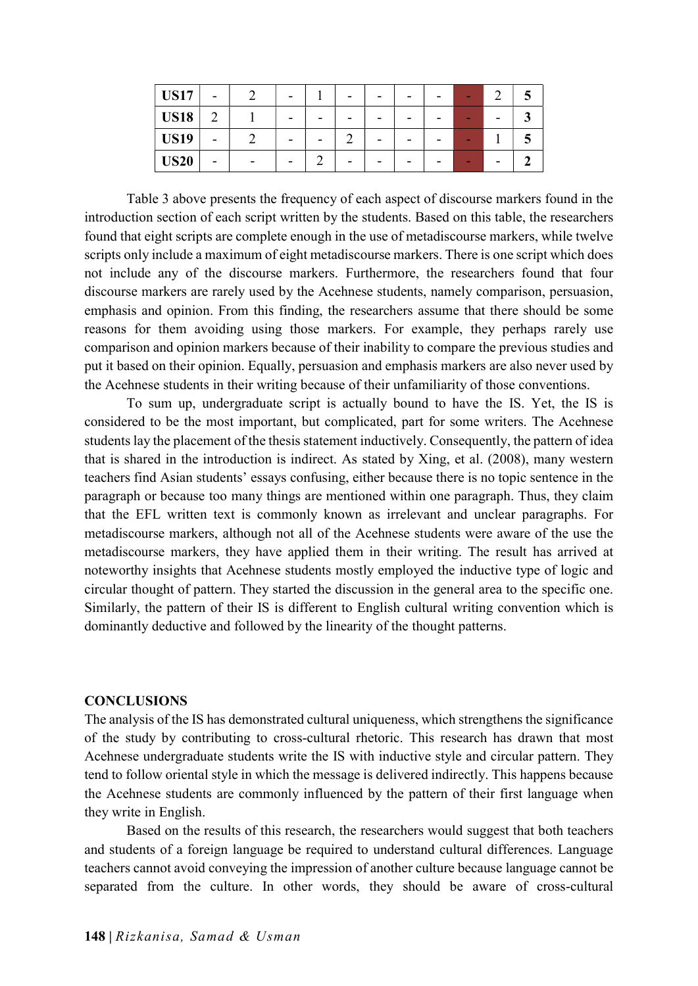| <b>US17</b> |        | - |  |  |  |  |
|-------------|--------|---|--|--|--|--|
| <b>US18</b> | ◠<br>∠ | - |  |  |  |  |
| <b>US19</b> | -      | - |  |  |  |  |
| <b>US20</b> |        | - |  |  |  |  |

 Table 3 above presents the frequency of each aspect of discourse markers found in the introduction section of each script written by the students. Based on this table, the researchers found that eight scripts are complete enough in the use of metadiscourse markers, while twelve scripts only include a maximum of eight metadiscourse markers. There is one script which does not include any of the discourse markers. Furthermore, the researchers found that four discourse markers are rarely used by the Acehnese students, namely comparison, persuasion, emphasis and opinion. From this finding, the researchers assume that there should be some reasons for them avoiding using those markers. For example, they perhaps rarely use comparison and opinion markers because of their inability to compare the previous studies and put it based on their opinion. Equally, persuasion and emphasis markers are also never used by the Acehnese students in their writing because of their unfamiliarity of those conventions.

 To sum up, undergraduate script is actually bound to have the IS. Yet, the IS is considered to be the most important, but complicated, part for some writers. The Acehnese students lay the placement of the thesis statement inductively. Consequently, the pattern of idea that is shared in the introduction is indirect. As stated by Xing, et al. (2008), many western teachers find Asian students' essays confusing, either because there is no topic sentence in the paragraph or because too many things are mentioned within one paragraph. Thus, they claim that the EFL written text is commonly known as irrelevant and unclear paragraphs. For metadiscourse markers, although not all of the Acehnese students were aware of the use the metadiscourse markers, they have applied them in their writing. The result has arrived at noteworthy insights that Acehnese students mostly employed the inductive type of logic and circular thought of pattern. They started the discussion in the general area to the specific one. Similarly, the pattern of their IS is different to English cultural writing convention which is dominantly deductive and followed by the linearity of the thought patterns.

#### **CONCLUSIONS**

The analysis of the IS has demonstrated cultural uniqueness, which strengthens the significance of the study by contributing to cross-cultural rhetoric. This research has drawn that most Acehnese undergraduate students write the IS with inductive style and circular pattern. They tend to follow oriental style in which the message is delivered indirectly. This happens because the Acehnese students are commonly influenced by the pattern of their first language when they write in English.

 Based on the results of this research, the researchers would suggest that both teachers and students of a foreign language be required to understand cultural differences. Language teachers cannot avoid conveying the impression of another culture because language cannot be separated from the culture. In other words, they should be aware of cross-cultural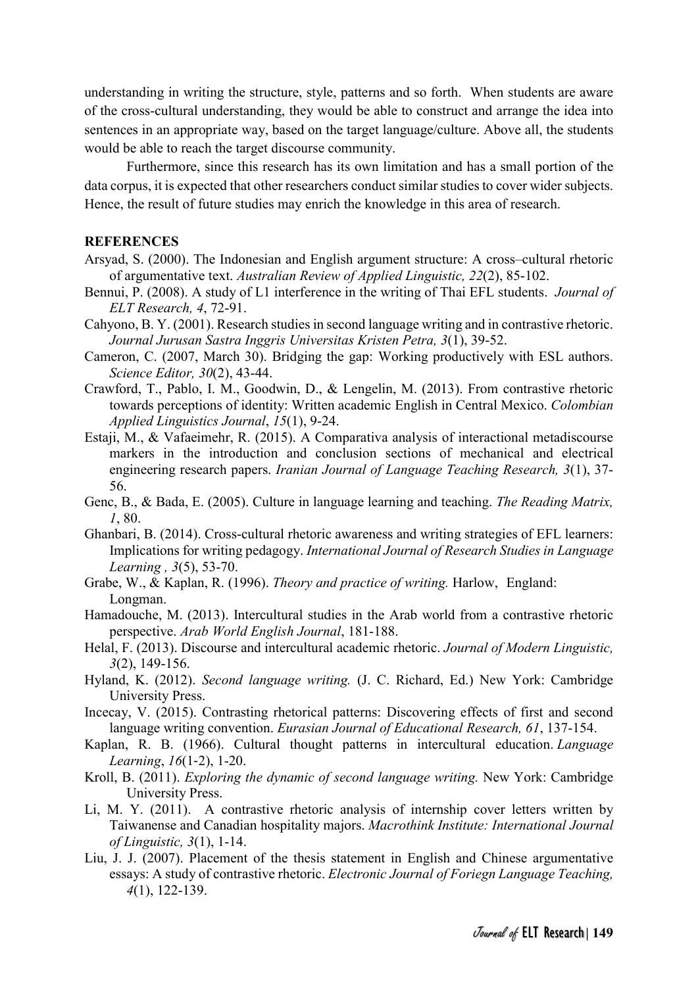understanding in writing the structure, style, patterns and so forth. When students are aware of the cross-cultural understanding, they would be able to construct and arrange the idea into sentences in an appropriate way, based on the target language/culture. Above all, the students would be able to reach the target discourse community.

 Furthermore, since this research has its own limitation and has a small portion of the data corpus, it is expected that other researchers conduct similar studies to cover wider subjects. Hence, the result of future studies may enrich the knowledge in this area of research.

#### **REFERENCES**

- Arsyad, S. (2000). The Indonesian and English argument structure: A cross–cultural rhetoric of argumentative text. Australian Review of Applied Linguistic, 22(2), 85-102.
- Bennui, P. (2008). A study of L1 interference in the writing of Thai EFL students. *Journal of* ELT Research, 4, 72-91.
- Cahyono, B. Y. (2001). Research studies in second language writing and in contrastive rhetoric. Journal Jurusan Sastra Inggris Universitas Kristen Petra, 3(1), 39-52.
- Cameron, C. (2007, March 30). Bridging the gap: Working productively with ESL authors. Science Editor, 30(2), 43-44.
- Crawford, T., Pablo, I. M., Goodwin, D., & Lengelin, M. (2013). From contrastive rhetoric towards perceptions of identity: Written academic English in Central Mexico. Colombian Applied Linguistics Journal, 15(1), 9-24.
- Estaji, M., & Vafaeimehr, R. (2015). A Comparativa analysis of interactional metadiscourse markers in the introduction and conclusion sections of mechanical and electrical engineering research papers. Iranian Journal of Language Teaching Research, 3(1), 37- 56.
- Genc, B., & Bada, E. (2005). Culture in language learning and teaching. The Reading Matrix, 1, 80.
- Ghanbari, B. (2014). Cross-cultural rhetoric awareness and writing strategies of EFL learners: Implications for writing pedagogy. International Journal of Research Studies in Language Learning , 3(5), 53-70.
- Grabe, W., & Kaplan, R. (1996). Theory and practice of writing. Harlow, England: Longman.
- Hamadouche, M. (2013). Intercultural studies in the Arab world from a contrastive rhetoric perspective. Arab World English Journal, 181-188.
- Helal, F. (2013). Discourse and intercultural academic rhetoric. Journal of Modern Linguistic, 3(2), 149-156.
- Hyland, K. (2012). Second language writing. (J. C. Richard, Ed.) New York: Cambridge University Press.
- Incecay, V. (2015). Contrasting rhetorical patterns: Discovering effects of first and second language writing convention. Eurasian Journal of Educational Research, 61, 137-154.
- Kaplan, R. B. (1966). Cultural thought patterns in intercultural education. Language Learning, 16(1‐2), 1-20.
- Kroll, B. (2011). Exploring the dynamic of second language writing. New York: Cambridge University Press.
- Li, M. Y. (2011). A contrastive rhetoric analysis of internship cover letters written by Taiwanense and Canadian hospitality majors. Macrothink Institute: International Journal of Linguistic, 3(1), 1-14.
- Liu, J. J. (2007). Placement of the thesis statement in English and Chinese argumentative essays: A study of contrastive rhetoric. Electronic Journal of Foriegn Language Teaching, 4(1), 122-139.